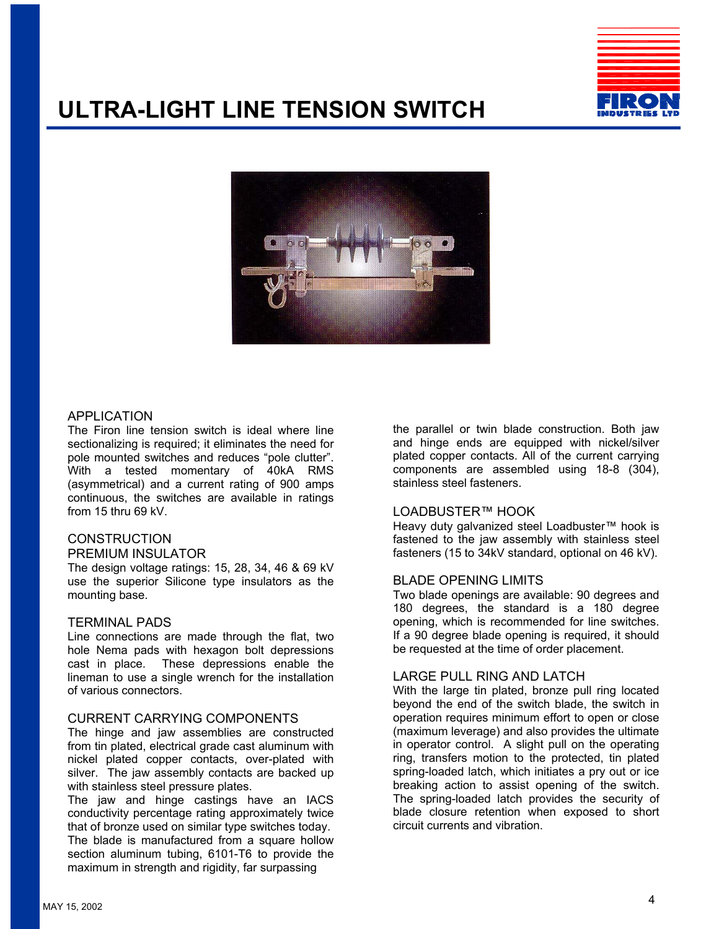# **ULTRA-LIGHT LINE TENSION SWITCH**





## APPLICATION

The Firon line tension switch is ideal where line sectionalizing is required; it eliminates the need for pole mounted switches and reduces "pole clutter". With a tested momentary of 40kA RMS (asymmetrical) and a current rating of 900 amps continuous, the switches are available in ratings from 15 thru 69 kV.

#### **CONSTRUCTION** PREMIUM INSULATOR

The design voltage ratings: 15, 28, 34, 46 & 69 kV use the superior Silicone type insulators as the mounting base.

#### TERMINAL PADS

Line connections are made through the flat, two hole Nema pads with hexagon bolt depressions cast in place. These depressions enable the lineman to use a single wrench for the installation of various connectors.

### CURRENT CARRYING COMPONENTS

The hinge and jaw assemblies are constructed from tin plated, electrical grade cast aluminum with nickel plated copper contacts, over-plated with silver. The jaw assembly contacts are backed up with stainless steel pressure plates.

The jaw and hinge castings have an IACS conductivity percentage rating approximately twice that of bronze used on similar type switches today. The blade is manufactured from a square hollow section aluminum tubing, 6101-T6 to provide the maximum in strength and rigidity, far surpassing

the parallel or twin blade construction. Both jaw and hinge ends are equipped with nickel/silver plated copper contacts. All of the current carrying components are assembled using 18-8 (304), stainless steel fasteners.

## LOADBUSTER™ HOOK

Heavy duty galvanized steel Loadbuster™ hook is fastened to the jaw assembly with stainless steel fasteners (15 to 34kV standard, optional on 46 kV).

#### BLADE OPENING LIMITS

Two blade openings are available: 90 degrees and 180 degrees, the standard is a 180 degree opening, which is recommended for line switches. If a 90 degree blade opening is required, it should be requested at the time of order placement.

## LARGE PULL RING AND LATCH

With the large tin plated, bronze pull ring located beyond the end of the switch blade, the switch in operation requires minimum effort to open or close (maximum leverage) and also provides the ultimate in operator control. A slight pull on the operating ring, transfers motion to the protected, tin plated spring-loaded latch, which initiates a pry out or ice breaking action to assist opening of the switch. The spring-loaded latch provides the security of blade closure retention when exposed to short circuit currents and vibration.